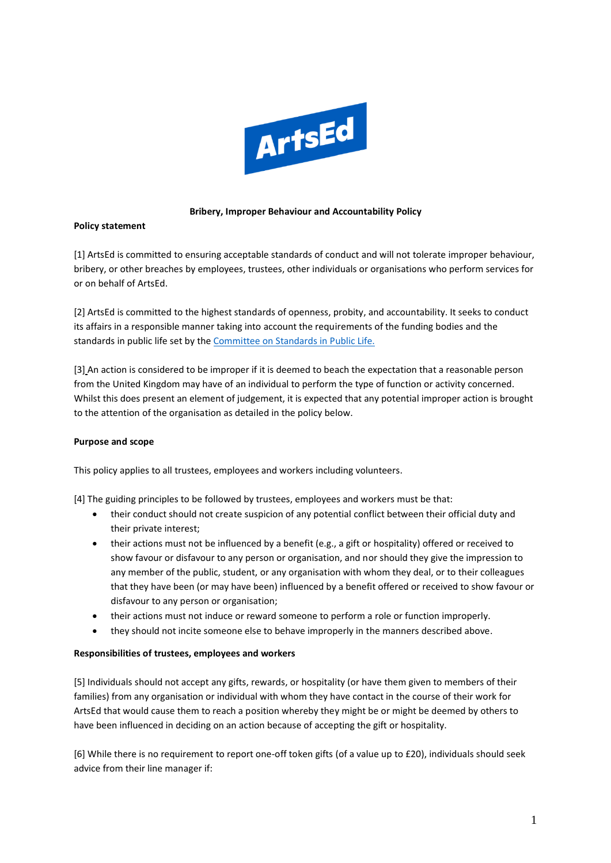

# **Bribery, Improper Behaviour and Accountability Policy**

## **Policy statement**

[1] ArtsEd is committed to ensuring acceptable standards of conduct and will not tolerate improper behaviour, bribery, or other breaches by employees, trustees, other individuals or organisations who perform services for or on behalf of ArtsEd.

[2] ArtsEd is committed to the highest standards of openness, probity, and accountability. It seeks to conduct its affairs in a responsible manner taking into account the requirements of the funding bodies and the standards in public life set by the [Committee on Standards in Public Life.](https://www.gov.uk/government/organisations/the-committee-on-standards-in-public-life)

[3] An action is considered to be improper if it is deemed to beach the expectation that a reasonable person from the United Kingdom may have of an individual to perform the type of function or activity concerned. Whilst this does present an element of judgement, it is expected that any potential improper action is brought to the attention of the organisation as detailed in the policy below.

#### **Purpose and scope**

This policy applies to all trustees, employees and workers including volunteers.

[4] The guiding principles to be followed by trustees, employees and workers must be that:

- their conduct should not create suspicion of any potential conflict between their official duty and their private interest;
- their actions must not be influenced by a benefit (e.g., a gift or hospitality) offered or received to show favour or disfavour to any person or organisation, and nor should they give the impression to any member of the public, student, or any organisation with whom they deal, or to their colleagues that they have been (or may have been) influenced by a benefit offered or received to show favour or disfavour to any person or organisation;
- their actions must not induce or reward someone to perform a role or function improperly.
- they should not incite someone else to behave improperly in the manners described above.

#### **Responsibilities of trustees, employees and workers**

[5] Individuals should not accept any gifts, rewards, or hospitality (or have them given to members of their families) from any organisation or individual with whom they have contact in the course of their work for ArtsEd that would cause them to reach a position whereby they might be or might be deemed by others to have been influenced in deciding on an action because of accepting the gift or hospitality.

[6] While there is no requirement to report one-off token gifts (of a value up to £20), individuals should seek advice from their line manager if: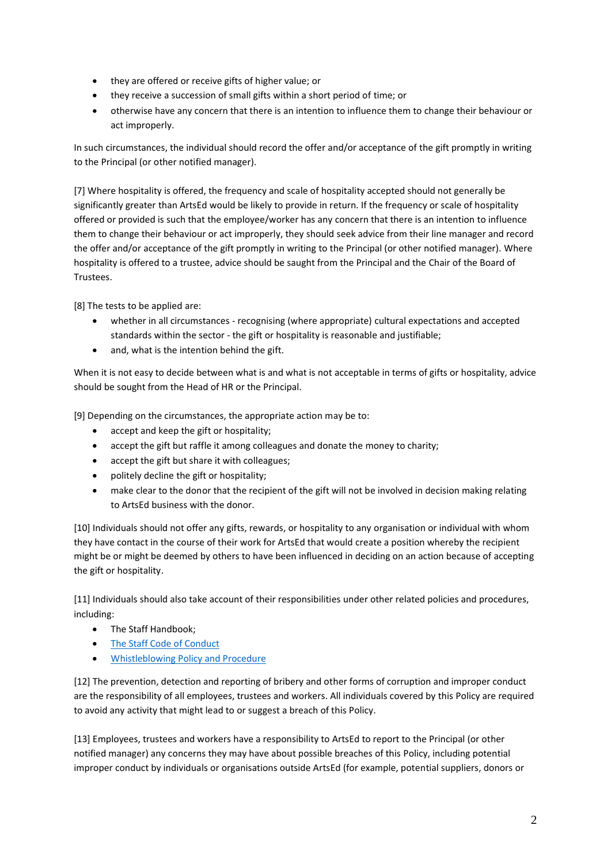- they are offered or receive gifts of higher value; or
- they receive a succession of small gifts within a short period of time; or
- otherwise have any concern that there is an intention to influence them to change their behaviour or act improperly.

In such circumstances, the individual should record the offer and/or acceptance of the gift promptly in writing to the Principal (or other notified manager).

[7] Where hospitality is offered, the frequency and scale of hospitality accepted should not generally be significantly greater than ArtsEd would be likely to provide in return. If the frequency or scale of hospitality offered or provided is such that the employee/worker has any concern that there is an intention to influence them to change their behaviour or act improperly, they should seek advice from their line manager and record the offer and/or acceptance of the gift promptly in writing to the Principal (or other notified manager). Where hospitality is offered to a trustee, advice should be saught from the Principal and the Chair of the Board of Trustees.

[8] The tests to be applied are:

- whether in all circumstances recognising (where appropriate) cultural expectations and accepted standards within the sector - the gift or hospitality is reasonable and justifiable;
- and, what is the intention behind the gift.

When it is not easy to decide between what is and what is not acceptable in terms of gifts or hospitality, advice should be sought from the Head of HR or the Principal.

[9] Depending on the circumstances, the appropriate action may be to:

- accept and keep the gift or hospitality;
- accept the gift but raffle it among colleagues and donate the money to charity;
- accept the gift but share it with colleagues;
- politely decline the gift or hospitality;
- make clear to the donor that the recipient of the gift will not be involved in decision making relating to ArtsEd business with the donor.

[10] Individuals should not offer any gifts, rewards, or hospitality to any organisation or individual with whom they have contact in the course of their work for ArtsEd that would create a position whereby the recipient might be or might be deemed by others to have been influenced in deciding on an action because of accepting the gift or hospitality.

[11] Individuals should also take account of their responsibilities under other related policies and procedures, including:

- The Staff Handbook;
- [The Staff Code of Conduct](https://artsed003.blob.core.windows.net/policy/code-of-conduct.pdf)
- [Whistleblowing Policy and Procedure](https://artsed003.blob.core.windows.net/policy/whistleblowing-policy-and-procedure.pdf)

[12] The prevention, detection and reporting of bribery and other forms of corruption and improper conduct are the responsibility of all employees, trustees and workers. All individuals covered by this Policy are required to avoid any activity that might lead to or suggest a breach of this Policy.

[13] Employees, trustees and workers have a responsibility to ArtsEd to report to the Principal (or other notified manager) any concerns they may have about possible breaches of this Policy, including potential improper conduct by individuals or organisations outside ArtsEd (for example, potential suppliers, donors or